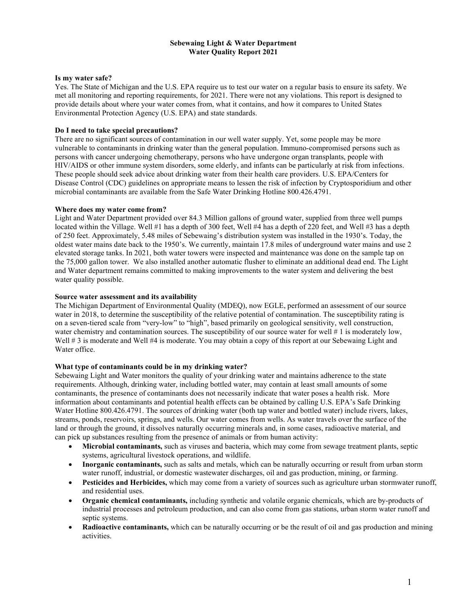### Sebewaing Light & Water Department Water Quality Report 2021

#### Is my water safe?

Yes. The State of Michigan and the U.S. EPA require us to test our water on a regular basis to ensure its safety. We met all monitoring and reporting requirements, for 2021. There were not any violations. This report is designed to provide details about where your water comes from, what it contains, and how it compares to United States Environmental Protection Agency (U.S. EPA) and state standards.

# Do I need to take special precautions?

There are no significant sources of contamination in our well water supply. Yet, some people may be more vulnerable to contaminants in drinking water than the general population. Immuno-compromised persons such as persons with cancer undergoing chemotherapy, persons who have undergone organ transplants, people with HIV/AIDS or other immune system disorders, some elderly, and infants can be particularly at risk from infections. These people should seek advice about drinking water from their health care providers. U.S. EPA/Centers for Disease Control (CDC) guidelines on appropriate means to lessen the risk of infection by Cryptosporidium and other microbial contaminants are available from the Safe Water Drinking Hotline 800.426.4791.

### Where does my water come from?

Light and Water Department provided over 84.3 Million gallons of ground water, supplied from three well pumps located within the Village. Well #1 has a depth of 300 feet, Well #4 has a depth of 220 feet, and Well #3 has a depth of 250 feet. Approximately, 5.48 miles of Sebewaing's distribution system was installed in the 1930's. Today, the oldest water mains date back to the 1950's. We currently, maintain 17.8 miles of underground water mains and use 2 elevated storage tanks. In 2021, both water towers were inspected and maintenance was done on the sample tap on the 75,000 gallon tower. We also installed another automatic flusher to eliminate an additional dead end. The Light and Water department remains committed to making improvements to the water system and delivering the best water quality possible.

#### Source water assessment and its availability

The Michigan Department of Environmental Quality (MDEQ), now EGLE, performed an assessment of our source water in 2018, to determine the susceptibility of the relative potential of contamination. The susceptibility rating is on a seven-tiered scale from "very-low" to "high", based primarily on geological sensitivity, well construction, water chemistry and contamination sources. The susceptibility of our source water for well # 1 is moderately low, Well # 3 is moderate and Well #4 is moderate. You may obtain a copy of this report at our Sebewaing Light and Water office.

#### What type of contaminants could be in my drinking water?

Sebewaing Light and Water monitors the quality of your drinking water and maintains adherence to the state requirements. Although, drinking water, including bottled water, may contain at least small amounts of some contaminants, the presence of contaminants does not necessarily indicate that water poses a health risk. More information about contaminants and potential health effects can be obtained by calling U.S. EPA's Safe Drinking Water Hotline 800.426.4791. The sources of drinking water (both tap water and bottled water) include rivers, lakes, streams, ponds, reservoirs, springs, and wells. Our water comes from wells. As water travels over the surface of the land or through the ground, it dissolves naturally occurring minerals and, in some cases, radioactive material, and can pick up substances resulting from the presence of animals or from human activity:

- Microbial contaminants, such as viruses and bacteria, which may come from sewage treatment plants, septic systems, agricultural livestock operations, and wildlife.
- Inorganic contaminants, such as salts and metals, which can be naturally occurring or result from urban storm water runoff, industrial, or domestic wastewater discharges, oil and gas production, mining, or farming.
- Pesticides and Herbicides, which may come from a variety of sources such as agriculture urban stormwater runoff, and residential uses.
- Organic chemical contaminants, including synthetic and volatile organic chemicals, which are by-products of industrial processes and petroleum production, and can also come from gas stations, urban storm water runoff and septic systems.
- Radioactive contaminants, which can be naturally occurring or be the result of oil and gas production and mining activities.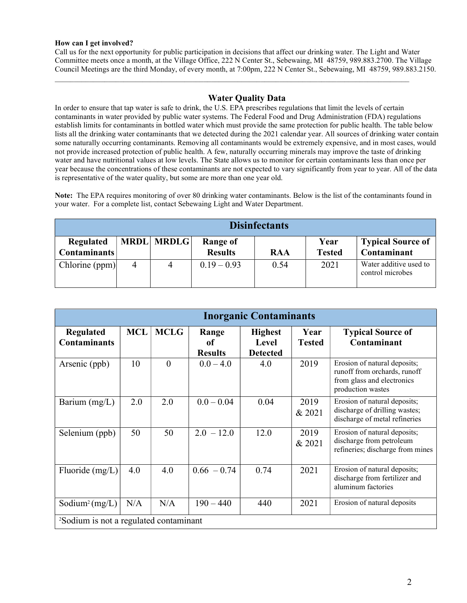# How can I get involved?

Call us for the next opportunity for public participation in decisions that affect our drinking water. The Light and Water Committee meets once a month, at the Village Office, 222 N Center St., Sebewaing, MI 48759, 989.883.2700. The Village Council Meetings are the third Monday, of every month, at 7:00pm, 222 N Center St., Sebewaing, MI 48759, 989.883.2150.

 $\mathcal{L}_\mathcal{L} = \{ \mathcal{L}_\mathcal{L} = \{ \mathcal{L}_\mathcal{L} = \{ \mathcal{L}_\mathcal{L} = \{ \mathcal{L}_\mathcal{L} = \{ \mathcal{L}_\mathcal{L} = \{ \mathcal{L}_\mathcal{L} = \{ \mathcal{L}_\mathcal{L} = \{ \mathcal{L}_\mathcal{L} = \{ \mathcal{L}_\mathcal{L} = \{ \mathcal{L}_\mathcal{L} = \{ \mathcal{L}_\mathcal{L} = \{ \mathcal{L}_\mathcal{L} = \{ \mathcal{L}_\mathcal{L} = \{ \mathcal{L}_\mathcal{$ 

# Water Quality Data

In order to ensure that tap water is safe to drink, the U.S. EPA prescribes regulations that limit the levels of certain contaminants in water provided by public water systems. The Federal Food and Drug Administration (FDA) regulations establish limits for contaminants in bottled water which must provide the same protection for public health. The table below lists all the drinking water contaminants that we detected during the 2021 calendar year. All sources of drinking water contain some naturally occurring contaminants. Removing all contaminants would be extremely expensive, and in most cases, would not provide increased protection of public health. A few, naturally occurring minerals may improve the taste of drinking water and have nutritional values at low levels. The State allows us to monitor for certain contaminants less than once per year because the concentrations of these contaminants are not expected to vary significantly from year to year. All of the data is representative of the water quality, but some are more than one year old.

Note: The EPA requires monitoring of over 80 drinking water contaminants. Below is the list of the contaminants found in your water. For a complete list, contact Sebewaing Light and Water Department.

| <b>Disinfectants</b>             |   |                   |                            |            |                       |                                            |
|----------------------------------|---|-------------------|----------------------------|------------|-----------------------|--------------------------------------------|
| Regulated<br><b>Contaminants</b> |   | <b>MRDL MRDLG</b> | Range of<br><b>Results</b> | <b>RAA</b> | Year<br><b>Tested</b> | <b>Typical Source of</b><br>Contaminant    |
| Chlorine (ppm)                   | 4 | 4                 | $0.19 - 0.93$              | 0.54       | 2021                  | Water additive used to<br>control microbes |

| <b>Inorganic Contaminants</b>                      |            |             |                               |                                            |                       |                                                                                                                 |  |
|----------------------------------------------------|------------|-------------|-------------------------------|--------------------------------------------|-----------------------|-----------------------------------------------------------------------------------------------------------------|--|
| <b>Regulated</b><br><b>Contaminants</b>            | <b>MCL</b> | <b>MCLG</b> | Range<br>of<br><b>Results</b> | <b>Highest</b><br>Level<br><b>Detected</b> | Year<br><b>Tested</b> | <b>Typical Source of</b><br>Contaminant                                                                         |  |
| Arsenic (ppb)                                      | 10         | $\theta$    | $0.0 - 4.0$                   | 4.0                                        | 2019                  | Erosion of natural deposits;<br>runoff from orchards, runoff<br>from glass and electronics<br>production wastes |  |
| Barium $(mg/L)$                                    | 2.0        | 2.0         | $0.0 - 0.04$                  | 0.04                                       | 2019<br>& 2021        | Erosion of natural deposits;<br>discharge of drilling wastes;<br>discharge of metal refineries                  |  |
| Selenium (ppb)                                     | 50         | 50          | $2.0 - 12.0$                  | 12.0                                       | 2019<br>& 2021        | Erosion of natural deposits;<br>discharge from petroleum<br>refineries; discharge from mines                    |  |
| Fluoride (mg/L)                                    | 4.0        | 4.0         | $0.66 - 0.74$                 | 0.74                                       | 2021                  | Erosion of natural deposits;<br>discharge from fertilizer and<br>aluminum factories                             |  |
| Sodium <sup>2</sup> (mg/L)                         | N/A        | N/A         | $190 - 440$                   | 440                                        | 2021                  | Erosion of natural deposits                                                                                     |  |
| <sup>2</sup> Sodium is not a regulated contaminant |            |             |                               |                                            |                       |                                                                                                                 |  |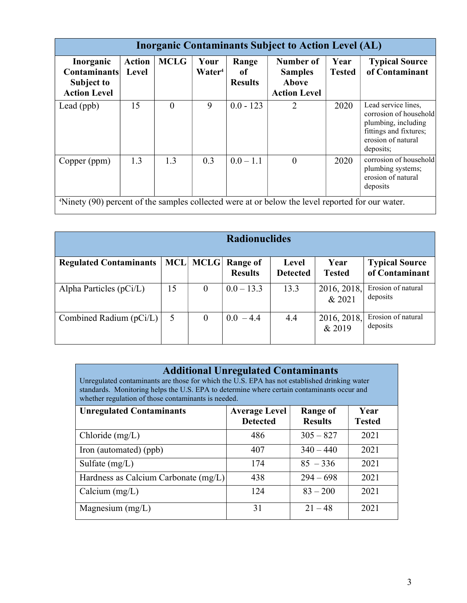| <b>Inorganic Contaminants Subject to Action Level (AL)</b>                                                   |                        |             |                            |                               |                                                             |                       |                                                                                                                                   |
|--------------------------------------------------------------------------------------------------------------|------------------------|-------------|----------------------------|-------------------------------|-------------------------------------------------------------|-----------------------|-----------------------------------------------------------------------------------------------------------------------------------|
| Inorganic<br><b>Contaminants</b><br>Subject to<br><b>Action Level</b>                                        | <b>Action</b><br>Level | <b>MCLG</b> | Your<br>Water <sup>4</sup> | Range<br>0f<br><b>Results</b> | Number of<br><b>Samples</b><br>Above<br><b>Action Level</b> | Year<br><b>Tested</b> | <b>Typical Source</b><br>of Contaminant                                                                                           |
| Lead (ppb)                                                                                                   | 15                     | $\theta$    | 9                          | $0.0 - 123$                   | $\overline{2}$                                              | 2020                  | Lead service lines,<br>corrosion of household<br>plumbing, including<br>fittings and fixtures;<br>erosion of natural<br>deposits; |
| Copper (ppm)                                                                                                 | 1.3                    | 1.3         | 0.3                        | $0.0 - 1.1$                   | $\Omega$                                                    | 2020                  | corrosion of household<br>plumbing systems;<br>erosion of natural<br>deposits                                                     |
| <sup>4</sup> Ninety (90) percent of the samples collected were at or below the level reported for our water. |                        |             |                            |                               |                                                             |                       |                                                                                                                                   |

| <b>Radionuclides</b>          |            |             |                                   |                          |                       |                                         |
|-------------------------------|------------|-------------|-----------------------------------|--------------------------|-----------------------|-----------------------------------------|
| <b>Regulated Contaminants</b> | <b>MCL</b> | <b>MCLG</b> | <b>Range of</b><br><b>Results</b> | Level<br><b>Detected</b> | Year<br><b>Tested</b> | <b>Typical Source</b><br>of Contaminant |
| Alpha Particles $(pCi/L)$     | 15         | $\theta$    | $0.0 - 13.3$                      | 13.3                     | 2016, 2018,<br>& 2021 | Erosion of natural<br>deposits          |
| Combined Radium $(pCi/L)$     | 5          | $\theta$    | $0.0 - 4.4$                       | 4.4                      | 2016, 2018,<br>& 2019 | Erosion of natural<br>deposits          |

# Additional Unregulated Contaminants

Unregulated contaminants are those for which the U.S. EPA has not established drinking water standards. Monitoring helps the U.S. EPA to determine where certain contaminants occur and whether regulation of those contaminants is needed.

| <b>Unregulated Contaminants</b>      | <b>Average Level</b><br><b>Detected</b> | Range of<br><b>Results</b> | Year<br><b>Tested</b> |
|--------------------------------------|-----------------------------------------|----------------------------|-----------------------|
| Chloride (mg/L)                      | 486                                     | $305 - 827$                | 2021                  |
| Iron (automated) (ppb)               | 407                                     | $340 - 440$                | 2021                  |
| Sulfate $(mg/L)$                     | 174                                     | $85 - 336$                 | 2021                  |
| Hardness as Calcium Carbonate (mg/L) | 438                                     | $294 - 698$                | 2021                  |
| Calcium $(mg/L)$                     | 124                                     | $83 - 200$                 | 2021                  |
| Magnesium $(mg/L)$                   | 31                                      | $21 - 48$                  | 2021                  |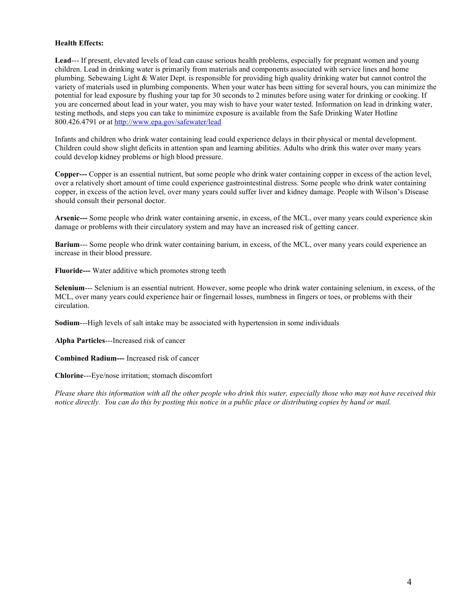# Health Effects:

Lead--- If present, elevated levels of lead can cause serious health problems, especially for pregnant women and young children. Lead in drinking water is primarily from materials and components associated with service lines and home plumbing. Sebewaing Light & Water Dept. is responsible for providing high quality drinking water but cannot control the variety of materials used in plumbing components. When your water has been sitting for several hours, you can minimize the potential for lead exposure by flushing your tap for 30 seconds to 2 minutes before using water for drinking or cooking. If you are concerned about lead in your water, you may wish to have your water tested. Information on lead in drinking water, testing methods, and steps you can take to minimize exposure is available from the Safe Drinking Water Hotline 800.426.4791 or at http://www.epa.gov/safewater/lead

Infants and children who drink water containing lead could experience delays in their physical or mental development. Children could show slight deficits in attention span and learning abilities. Adults who drink this water over many years could develop kidney problems or high blood pressure.

Copper--- Copper is an essential nutrient, but some people who drink water containing copper in excess of the action level, over a relatively short amount of time could experience gastrointestinal distress. Some people who drink water containing copper, in excess of the action level, over many years could suffer liver and kidney damage. People with Wilson's Disease should consult their personal doctor.

Arsenic--- Some people who drink water containing arsenic, in excess, of the MCL, over many years could experience skin damage or problems with their circulatory system and may have an increased risk of getting cancer.

Barium--- Some people who drink water containing barium, in excess, of the MCL, over many years could experience an increase in their blood pressure.

Fluoride--- Water additive which promotes strong teeth

Selenium--- Selenium is an essential nutrient. However, some people who drink water containing selenium, in excess, of the MCL, over many years could experience hair or fingernail losses, numbness in fingers or toes, or problems with their circulation.

Sodium---High levels of salt intake may be associated with hypertension in some individuals

Alpha Particles---Increased risk of cancer

Combined Radium--- Increased risk of cancer

Chlorine---Eye/nose irritation; stomach discomfort

Please share this information with all the other people who drink this water, especially those who may not have received this notice directly. You can do this by posting this notice in a public place or distributing copies by hand or mail.